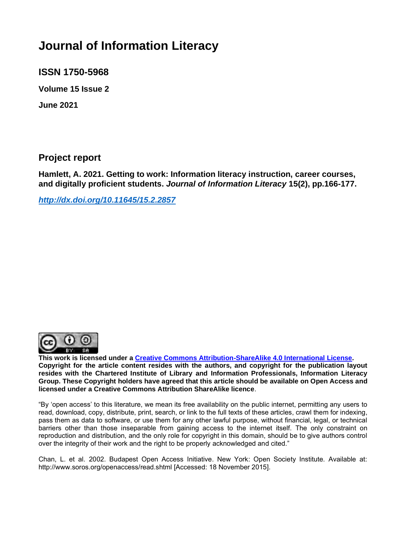# **Journal of Information Literacy**

**ISSN 1750-5968** 

**Volume 15 Issue 2** 

**June 2021**

#### **Project report**

**Hamlett, A. 2021. Getting to work: Information literacy instruction, career courses, and digitally proficient students.** *Journal of Information Literacy* **15(2), pp.166-177.**

*<http://dx.doi.org/10.11645/15.2.2857>*



**This work is licensed under a [Creative Commons Attribution-ShareAlike 4.0 International License.](http://creativecommons.org/licenses/by-sa/4.0/) Copyright for the article content resides with the authors, and copyright for the publication layout resides with the Chartered Institute of Library and Information Professionals, Information Literacy Group. These Copyright holders have agreed that this article should be available on Open Access and licensed under a Creative Commons Attribution ShareAlike licence**.

"By 'open access' to this literature, we mean its free availability on the public internet, permitting any users to read, download, copy, distribute, print, search, or link to the full texts of these articles, crawl them for indexing, pass them as data to software, or use them for any other lawful purpose, without financial, legal, or technical barriers other than those inseparable from gaining access to the internet itself. The only constraint on reproduction and distribution, and the only role for copyright in this domain, should be to give authors control over the integrity of their work and the right to be properly acknowledged and cited."

Chan, L. et al. 2002. Budapest Open Access Initiative. New York: Open Society Institute. Available at: http://www.soros.org/openaccess/read.shtml [Accessed: 18 November 2015].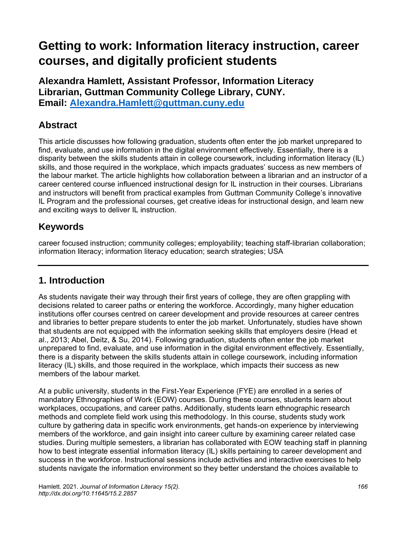# **Getting to work: Information literacy instruction, career courses, and digitally proficient students**

**Alexandra Hamlett, Assistant Professor, Information Literacy Librarian, Guttman Community College Library, CUNY. Email: [Alexandra.Hamlett@guttman.cuny.edu](mailto:Alexandra.Hamlett@guttman.cuny.edu)**

#### **Abstract**

This article discusses how following graduation, students often enter the job market unprepared to find, evaluate, and use information in the digital environment effectively. Essentially, there is a disparity between the skills students attain in college coursework, including information literacy (IL) skills, and those required in the workplace, which impacts graduates' success as new members of the labour market. The article highlights how collaboration between a librarian and an instructor of a career centered course influenced instructional design for IL instruction in their courses. Librarians and instructors will benefit from practical examples from Guttman Community College's innovative IL Program and the professional courses, get creative ideas for instructional design, and learn new and exciting ways to deliver IL instruction.

#### **Keywords**

career focused instruction; community colleges; employability; teaching staff-librarian collaboration; information literacy; information literacy education; search strategies; USA

## **1. Introduction**

As students navigate their way through their first years of college, they are often grappling with decisions related to career paths or entering the workforce. Accordingly, many higher education institutions offer courses centred on career development and provide resources at career centres and libraries to better prepare students to enter the job market. Unfortunately, studies have shown that students are not equipped with the information seeking skills that employers desire (Head et al., 2013; Abel, Deitz, & Su, 2014). Following graduation, students often enter the job market unprepared to find, evaluate, and use information in the digital environment effectively. Essentially, there is a disparity between the skills students attain in college coursework, including information literacy (IL) skills, and those required in the workplace, which impacts their success as new members of the labour market.

At a public university, students in the First-Year Experience (FYE) are enrolled in a series of mandatory Ethnographies of Work (EOW) courses. During these courses, students learn about workplaces, occupations, and career paths. Additionally, students learn ethnographic research methods and complete field work using this methodology. In this course, students study work culture by gathering data in specific work environments, get hands-on experience by interviewing members of the workforce, and gain insight into career culture by examining career related case studies. During multiple semesters, a librarian has collaborated with EOW teaching staff in planning how to best integrate essential information literacy (IL) skills pertaining to career development and success in the workforce. Instructional sessions include activities and interactive exercises to help students navigate the information environment so they better understand the choices available to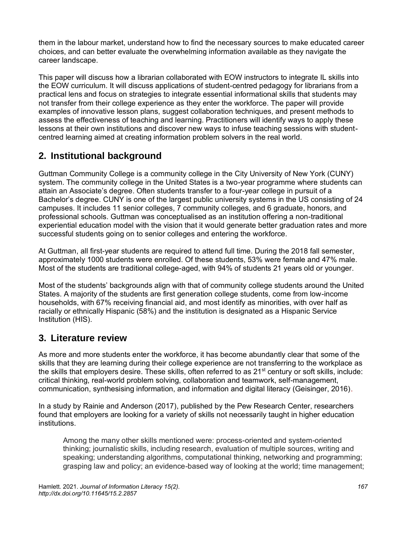them in the labour market, understand how to find the necessary sources to make educated career choices, and can better evaluate the overwhelming information available as they navigate the career landscape.

This paper will discuss how a librarian collaborated with EOW instructors to integrate IL skills into the EOW curriculum. It will discuss applications of student-centred pedagogy for librarians from a practical lens and focus on strategies to integrate essential informational skills that students may not transfer from their college experience as they enter the workforce. The paper will provide examples of innovative lesson plans, suggest collaboration techniques, and present methods to assess the effectiveness of teaching and learning. Practitioners will identify ways to apply these lessons at their own institutions and discover new ways to infuse teaching sessions with studentcentred learning aimed at creating information problem solvers in the real world.

# **2. Institutional background**

Guttman Community College is a community college in the City University of New York (CUNY) system. The community college in the United States is a two-year programme where students can attain an Associate's degree. Often students transfer to a four-year college in pursuit of a Bachelor's degree. CUNY is one of the largest public university systems in the US consisting of 24 campuses. It includes 11 senior colleges, 7 community colleges, and 6 graduate, honors, and professional schools. Guttman was conceptualised as an institution offering a non-traditional experiential education model with the vision that it would generate better graduation rates and more successful students going on to senior colleges and entering the workforce.

At Guttman, all first-year students are required to attend full time. During the 2018 fall semester, approximately 1000 students were enrolled. Of these students, 53% were female and 47% male. Most of the students are traditional college-aged, with 94% of students 21 years old or younger.

Most of the students' backgrounds align with that of community college students around the United States. A majority of the students are first generation college students, come from low-income households, with 67% receiving financial aid, and most identify as minorities, with over half as racially or ethnically Hispanic (58%) and the institution is designated as a Hispanic Service Institution (HIS).

#### **3. Literature review**

As more and more students enter the workforce, it has become abundantly clear that some of the skills that they are learning during their college experience are not transferring to the workplace as the skills that employers desire. These skills, often referred to as  $21<sup>st</sup>$  century or soft skills, include: critical thinking, real-world problem solving, collaboration and teamwork, self-management, communication, synthesising information, and information and digital literacy (Geisinger, 2016).

In a study by Rainie and Anderson (2017), published by the Pew Research Center, researchers found that employers are looking for a variety of skills not necessarily taught in higher education institutions.

Among the many other skills mentioned were: process-oriented and system-oriented thinking; journalistic skills, including research, evaluation of multiple sources, writing and speaking; understanding algorithms, computational thinking, networking and programming; grasping law and policy; an evidence-based way of looking at the world; time management;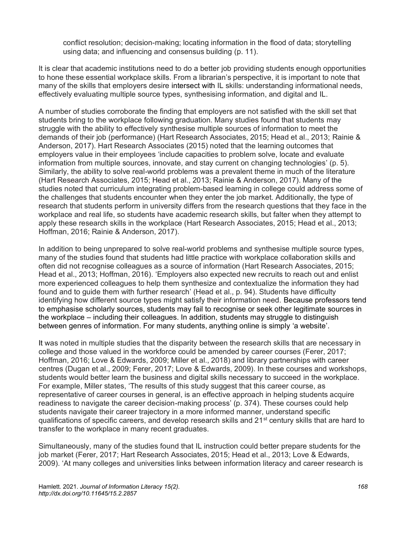conflict resolution; decision-making; locating information in the flood of data; storytelling using data; and influencing and consensus building (p. 11).

It is clear that academic institutions need to do a better job providing students enough opportunities to hone these essential workplace skills. From a librarian's perspective, it is important to note that many of the skills that employers desire intersect with IL skills: understanding informational needs, effectively evaluating multiple source types, synthesising information, and digital and IL.

A number of studies corroborate the finding that employers are not satisfied with the skill set that students bring to the workplace following graduation. Many studies found that students may struggle with the ability to effectively synthesise multiple sources of information to meet the demands of their job (performance) (Hart Research Associates, 2015; Head et al., 2013; Rainie & Anderson, 2017). Hart Research Associates (2015) noted that the learning outcomes that employers value in their employees 'include capacities to problem solve, locate and evaluate information from multiple sources, innovate, and stay current on changing technologies' (p. 5). Similarly, the ability to solve real-world problems was a prevalent theme in much of the literature (Hart Research Associates, 2015; Head et al., 2013; Rainie & Anderson, 2017). Many of the studies noted that curriculum integrating problem-based learning in college could address some of the challenges that students encounter when they enter the job market. Additionally, the type of research that students perform in university differs from the research questions that they face in the workplace and real life, so students have academic research skills, but falter when they attempt to apply these research skills in the workplace (Hart Research Associates, 2015; Head et al., 2013; Hoffman, 2016; Rainie & Anderson, 2017).

In addition to being unprepared to solve real-world problems and synthesise multiple source types, many of the studies found that students had little practice with workplace collaboration skills and often did not recognise colleagues as a source of information (Hart Research Associates, 2015; Head et al., 2013; Hoffman, 2016). 'Employers also expected new recruits to reach out and enlist more experienced colleagues to help them synthesize and contextualize the information they had found and to guide them with further research' (Head et al., p. 94). Students have difficulty identifying how different source types might satisfy their information need. Because professors tend to emphasise scholarly sources, students may fail to recognise or seek other legitimate sources in the workplace – including their colleagues. In addition, students may struggle to distinguish between genres of information. For many students, anything online is simply 'a website'.

It was noted in multiple studies that the disparity between the research skills that are necessary in college and those valued in the workforce could be amended by career courses (Ferer, 2017; Hoffman, 2016; Love & Edwards, 2009; Miller et al., 2018) and library partnerships with career centres (Dugan et al., 2009; Ferer, 2017; Love & Edwards, 2009). In these courses and workshops, students would better learn the business and digital skills necessary to succeed in the workplace. For example, Miller states, 'The results of this study suggest that this career course, as representative of career courses in general, is an effective approach in helping students acquire readiness to navigate the career decision-making process' (p. 374). These courses could help students navigate their career trajectory in a more informed manner, understand specific qualifications of specific careers, and develop research skills and 21<sup>st</sup> century skills that are hard to transfer to the workplace in many recent graduates.

Simultaneously, many of the studies found that IL instruction could better prepare students for the job market (Ferer, 2017; Hart Research Associates, 2015; Head et al., 2013; Love & Edwards, 2009). 'At many colleges and universities links between information literacy and career research is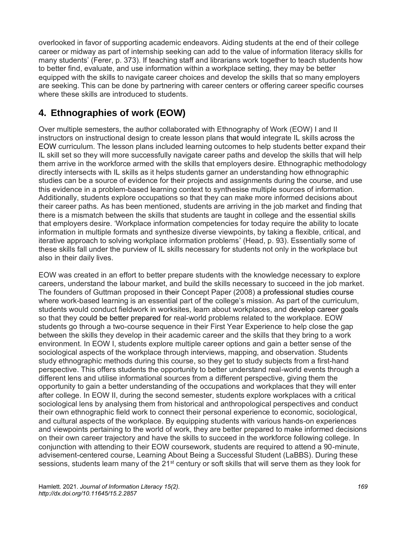overlooked in favor of supporting academic endeavors. Aiding students at the end of their college career or midway as part of internship seeking can add to the value of information literacy skills for many students' (Ferer, p. 373). If teaching staff and librarians work together to teach students how to better find, evaluate, and use information within a workplace setting, they may be better equipped with the skills to navigate career choices and develop the skills that so many employers are seeking. This can be done by partnering with career centers or offering career specific courses where these skills are introduced to students.

# **4. Ethnographies of work (EOW)**

Over multiple semesters, the author collaborated with Ethnography of Work (EOW) I and II instructors on instructional design to create lesson plans that would integrate IL skills across the EOW curriculum. The lesson plans included learning outcomes to help students better expand their IL skill set so they will more successfully navigate career paths and develop the skills that will help them arrive in the workforce armed with the skills that employers desire. Ethnographic methodology directly intersects with IL skills as it helps students garner an understanding how ethnographic studies can be a source of evidence for their projects and assignments during the course, and use this evidence in a problem-based learning context to synthesise multiple sources of information. Additionally, students explore occupations so that they can make more informed decisions about their career paths. As has been mentioned, students are arriving in the job market and finding that there is a mismatch between the skills that students are taught in college and the essential skills that employers desire. 'Workplace information competencies for today require the ability to locate information in multiple formats and synthesize diverse viewpoints, by taking a flexible, critical, and iterative approach to solving workplace information problems' (Head, p. 93). Essentially some of these skills fall under the purview of IL skills necessary for students not only in the workplace but also in their daily lives.

EOW was created in an effort to better prepare students with the knowledge necessary to explore careers, understand the labour market, and build the skills necessary to succeed in the job market. The founders of Guttman proposed in their Concept Paper (2008) a professional studies course where work-based learning is an essential part of the college's mission. As part of the curriculum, students would conduct fieldwork in worksites, learn about workplaces, and develop career goals so that they could be better prepared for real-world problems related to the workplace. EOW students go through a two-course sequence in their First Year Experience to help close the gap between the skills they develop in their academic career and the skills that they bring to a work environment. In EOW I, students explore multiple career options and gain a better sense of the sociological aspects of the workplace through interviews, mapping, and observation. Students study ethnographic methods during this course, so they get to study subjects from a first-hand perspective. This offers students the opportunity to better understand real-world events through a different lens and utilise informational sources from a different perspective, giving them the opportunity to gain a better understanding of the occupations and workplaces that they will enter after college. In EOW II, during the second semester, students explore workplaces with a critical sociological lens by analysing them from historical and anthropological perspectives and conduct their own ethnographic field work to connect their personal experience to economic, sociological, and cultural aspects of the workplace. By equipping students with various hands-on experiences and viewpoints pertaining to the world of work, they are better prepared to make informed decisions on their own career trajectory and have the skills to succeed in the workforce following college. In conjunction with attending to their EOW coursework, students are required to attend a 90-minute, advisement-centered course, Learning About Being a Successful Student (LaBBS). During these sessions, students learn many of the 21<sup>st</sup> century or soft skills that will serve them as they look for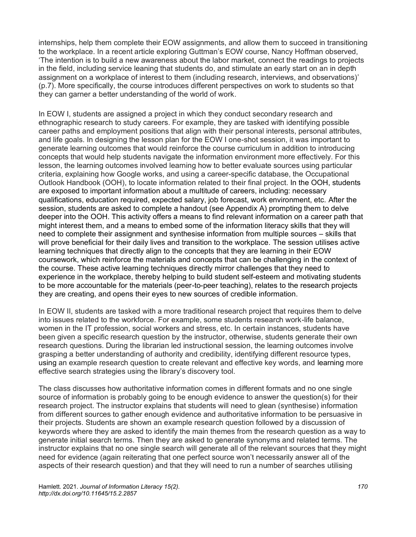internships, help them complete their EOW assignments, and allow them to succeed in transitioning to the workplace. In a recent article exploring Guttman's EOW course, Nancy Hoffman observed, 'The intention is to build a new awareness about the labor market, connect the readings to projects in the field, including service leaning that students do, and stimulate an early start on an in depth assignment on a workplace of interest to them (including research, interviews, and observations)' (p.7). More specifically, the course introduces different perspectives on work to students so that they can garner a better understanding of the world of work.

In EOW I, students are assigned a project in which they conduct secondary research and ethnographic research to study careers. For example, they are tasked with identifying possible career paths and employment positions that align with their personal interests, personal attributes, and life goals. In designing the lesson plan for the EOW I one-shot session, it was important to generate learning outcomes that would reinforce the course curriculum in addition to introducing concepts that would help students navigate the information environment more effectively. For this lesson, the learning outcomes involved learning how to better evaluate sources using particular criteria, explaining how Google works, and using a career-specific database, the Occupational Outlook Handbook (OOH), to locate information related to their final project. In the OOH, students are exposed to important information about a multitude of careers, including: necessary qualifications, education required, expected salary, job forecast, work environment, etc. After the session, students are asked to complete a handout (see Appendix A) prompting them to delve deeper into the OOH. This activity offers a means to find relevant information on a career path that might interest them, and a means to embed some of the information literacy skills that they will need to complete their assignment and synthesise information from multiple sources – skills that will prove beneficial for their daily lives and transition to the workplace. The session utilises active learning techniques that directly align to the concepts that they are learning in their EOW coursework, which reinforce the materials and concepts that can be challenging in the context of the course. These active learning techniques directly mirror challenges that they need to experience in the workplace, thereby helping to build student self-esteem and motivating students to be more accountable for the materials (peer-to-peer teaching), relates to the research projects they are creating, and opens their eyes to new sources of credible information.

In EOW II, students are tasked with a more traditional research project that requires them to delve into issues related to the workforce. For example, some students research work-life balance, women in the IT profession, social workers and stress, etc. In certain instances, students have been given a specific research question by the instructor, otherwise, students generate their own research questions. During the librarian led instructional session, the learning outcomes involve grasping a better understanding of authority and credibility, identifying different resource types, using an example research question to create relevant and effective key words, and learning more effective search strategies using the library's discovery tool.

The class discusses how authoritative information comes in different formats and no one single source of information is probably going to be enough evidence to answer the question(s) for their research project. The instructor explains that students will need to glean (synthesise) information from different sources to gather enough evidence and authoritative information to be persuasive in their projects. Students are shown an example research question followed by a discussion of keywords where they are asked to identify the main themes from the research question as a way to generate initial search terms. Then they are asked to generate synonyms and related terms. The instructor explains that no one single search will generate all of the relevant sources that they might need for evidence (again reiterating that one perfect source won't necessarily answer all of the aspects of their research question) and that they will need to run a number of searches utilising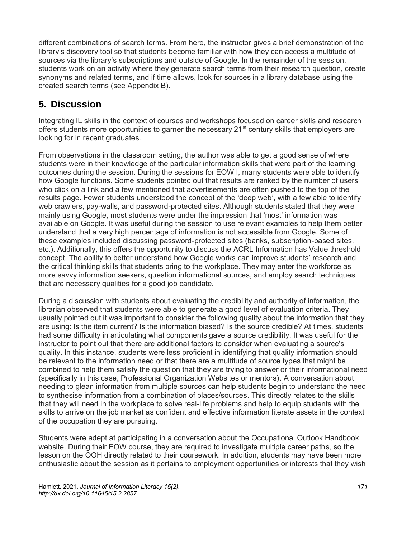different combinations of search terms. From here, the instructor gives a brief demonstration of the library's discovery tool so that students become familiar with how they can access a multitude of sources via the library's subscriptions and outside of Google. In the remainder of the session, students work on an activity where they generate search terms from their research question, create synonyms and related terms, and if time allows, look for sources in a library database using the created search terms (see Appendix B).

# **5. Discussion**

Integrating IL skills in the context of courses and workshops focused on career skills and research offers students more opportunities to garner the necessary  $21<sup>st</sup>$  century skills that employers are looking for in recent graduates.

From observations in the classroom setting, the author was able to get a good sense of where students were in their knowledge of the particular information skills that were part of the learning outcomes during the session. During the sessions for EOW I, many students were able to identify how Google functions. Some students pointed out that results are ranked by the number of users who click on a link and a few mentioned that advertisements are often pushed to the top of the results page. Fewer students understood the concept of the 'deep web', with a few able to identify web crawlers, pay-walls, and password-protected sites. Although students stated that they were mainly using Google, most students were under the impression that 'most' information was available on Google. It was useful during the session to use relevant examples to help them better understand that a very high percentage of information is not accessible from Google. Some of these examples included discussing password-protected sites (banks, subscription-based sites, etc.). Additionally, this offers the opportunity to discuss the ACRL Information has Value threshold concept. The ability to better understand how Google works can improve students' research and the critical thinking skills that students bring to the workplace. They may enter the workforce as more savvy information seekers, question informational sources, and employ search techniques that are necessary qualities for a good job candidate.

During a discussion with students about evaluating the credibility and authority of information, the librarian observed that students were able to generate a good level of evaluation criteria. They usually pointed out it was important to consider the following quality about the information that they are using: Is the item current? Is the information biased? Is the source credible? At times, students had some difficulty in articulating what components gave a source credibility. It was useful for the instructor to point out that there are additional factors to consider when evaluating a source's quality. In this instance, students were less proficient in identifying that quality information should be relevant to the information need or that there are a multitude of source types that might be combined to help them satisfy the question that they are trying to answer or their informational need (specifically in this case, Professional Organization Websites or mentors). A conversation about needing to glean information from multiple sources can help students begin to understand the need to synthesise information from a combination of places/sources. This directly relates to the skills that they will need in the workplace to solve real-life problems and help to equip students with the skills to arrive on the job market as confident and effective information literate assets in the context of the occupation they are pursuing.

Students were adept at participating in a conversation about the Occupational Outlook Handbook website. During their EOW course, they are required to investigate multiple career paths, so the lesson on the OOH directly related to their coursework. In addition, students may have been more enthusiastic about the session as it pertains to employment opportunities or interests that they wish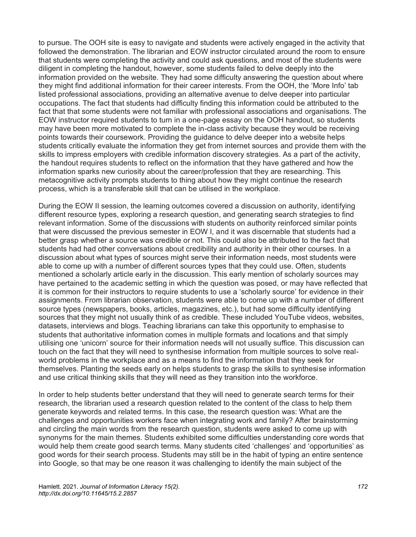to pursue. The OOH site is easy to navigate and students were actively engaged in the activity that followed the demonstration. The librarian and EOW instructor circulated around the room to ensure that students were completing the activity and could ask questions, and most of the students were diligent in completing the handout, however, some students failed to delve deeply into the information provided on the website. They had some difficulty answering the question about where they might find additional information for their career interests. From the OOH, the 'More Info' tab listed professional associations, providing an alternative avenue to delve deeper into particular occupations. The fact that students had difficulty finding this information could be attributed to the fact that that some students were not familiar with professional associations and organisations. The EOW instructor required students to turn in a one-page essay on the OOH handout, so students may have been more motivated to complete the in-class activity because they would be receiving points towards their coursework. Providing the guidance to delve deeper into a website helps students critically evaluate the information they get from internet sources and provide them with the skills to impress employers with credible information discovery strategies. As a part of the activity, the handout requires students to reflect on the information that they have gathered and how the information sparks new curiosity about the career/profession that they are researching. This metacognitive activity prompts students to thing about how they might continue the research process, which is a transferable skill that can be utilised in the workplace.

During the EOW II session, the learning outcomes covered a discussion on authority, identifying different resource types, exploring a research question, and generating search strategies to find relevant information. Some of the discussions with students on authority reinforced similar points that were discussed the previous semester in EOW I, and it was discernable that students had a better grasp whether a source was credible or not. This could also be attributed to the fact that students had had other conversations about credibility and authority in their other courses. In a discussion about what types of sources might serve their information needs, most students were able to come up with a number of different sources types that they could use. Often, students mentioned a scholarly article early in the discussion. This early mention of scholarly sources may have pertained to the academic setting in which the question was posed, or may have reflected that it is common for their instructors to require students to use a 'scholarly source' for evidence in their assignments. From librarian observation, students were able to come up with a number of different source types (newspapers, books, articles, magazines, etc.), but had some difficulty identifying sources that they might not usually think of as credible. These included YouTube videos, websites, datasets, interviews and blogs. Teaching librarians can take this opportunity to emphasise to students that authoritative information comes in multiple formats and locations and that simply utilising one 'unicorn' source for their information needs will not usually suffice. This discussion can touch on the fact that they will need to synthesise information from multiple sources to solve realworld problems in the workplace and as a means to find the information that they seek for themselves. Planting the seeds early on helps students to grasp the skills to synthesise information and use critical thinking skills that they will need as they transition into the workforce.

In order to help students better understand that they will need to generate search terms for their research, the librarian used a research question related to the content of the class to help them generate keywords and related terms. In this case, the research question was: What are the challenges and opportunities workers face when integrating work and family? After brainstorming and circling the main words from the research question, students were asked to come up with synonyms for the main themes. Students exhibited some difficulties understanding core words that would help them create good search terms. Many students cited 'challenges' and 'opportunities' as good words for their search process. Students may still be in the habit of typing an entire sentence into Google, so that may be one reason it was challenging to identify the main subject of the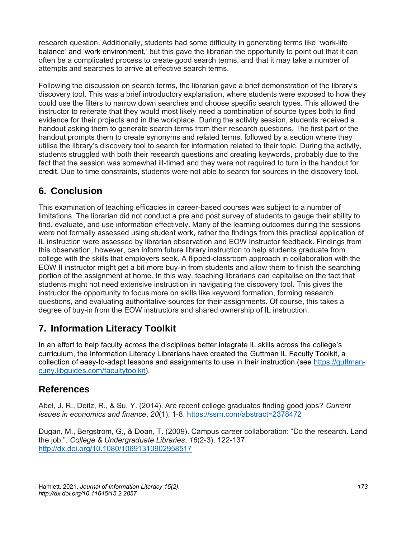research question. Additionally, students had some difficulty in generating terms like 'work-life balance' and 'work environment,' but this gave the librarian the opportunity to point out that it can often be a complicated process to create good search terms, and that it may take a number of attempts and searches to arrive at effective search terms.

Following the discussion on search terms, the librarian gave a brief demonstration of the library's discovery tool. This was a brief introductory explanation, where students were exposed to how they could use the filters to narrow down searches and choose specific search types. This allowed the instructor to reiterate that they would most likely need a combination of source types both to find evidence for their projects and in the workplace. During the activity session, students received a handout asking them to generate search terms from their research questions. The first part of the handout prompts them to create synonyms and related terms, followed by a section where they utilise the library's discovery tool to search for information related to their topic. During the activity, students struggled with both their research questions and creating keywords, probably due to the fact that the session was somewhat ill-timed and they were not required to turn in the handout for credit. Due to time constraints, students were not able to search for sources in the discovery tool.

## **6. Conclusion**

This examination of teaching efficacies in career-based courses was subject to a number of limitations. The librarian did not conduct a pre and post survey of students to gauge their ability to find, evaluate, and use information effectively. Many of the learning outcomes during the sessions were not formally assessed using student work, rather the findings from this practical application of IL instruction were assessed by librarian observation and EOW Instructor feedback. Findings from this observation, however, can inform future library instruction to help students graduate from college with the skills that employers seek. A flipped-classroom approach in collaboration with the EOW II instructor might get a bit more buy-in from students and allow them to finish the searching portion of the assignment at home. In this way, teaching librarians can capitalise on the fact that students might not need extensive instruction in navigating the discovery tool. This gives the instructor the opportunity to focus more on skills like keyword formation, forming research questions, and evaluating authoritative sources for their assignments. Of course, this takes a degree of buy-in from the EOW instructors and shared ownership of IL instruction.

## **7. Information Literacy Toolkit**

In an effort to help faculty across the disciplines better integrate IL skills across the college's curriculum, the Information Literacy Librarians have created the Guttman IL Faculty Toolkit, a collection of easy-to-adapt lessons and assignments to use in their instruction (see [https://guttman](https://guttman-cuny.libguides.com/facultytoolkit)[cuny.libguides.com/facultytoolkit\)](https://guttman-cuny.libguides.com/facultytoolkit).

#### **References**

Abel, J. R., Deitz, R., & Su, Y. (2014). Are recent college graduates finding good jobs? *Current issues in economics and finance*, *20*(1), 1-8. <https://ssrn.com/abstract=2378472>

Dugan, M., Bergstrom, G., & Doan, T. (2009). Campus career collaboration: "Do the research. Land the job.". *College & Undergraduate Libraries*, *16*(2-3), 122-137. <http://dx.doi.org/10.1080/10691310902958517>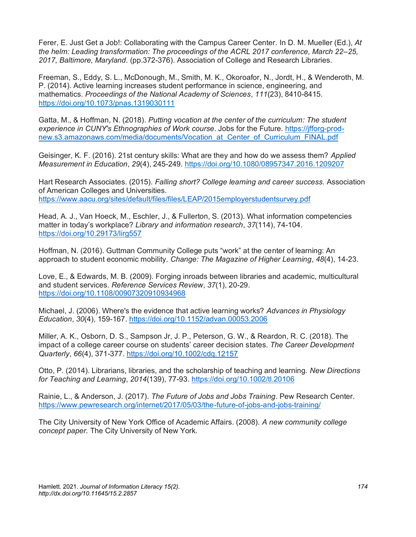Ferer, E. Just Get a Job!: Collaborating with the Campus Career Center. In D. M. Mueller (Ed.), *At the helm: Leading transformation: The proceedings of the ACRL 2017 conference, March 22–25, 2017, Baltimore, Maryland.* (pp.372-376). Association of College and Research Libraries.

Freeman, S., Eddy, S. L., McDonough, M., Smith, M. K., Okoroafor, N., Jordt, H., & Wenderoth, M. P. (2014). Active learning increases student performance in science, engineering, and mathematics. *Proceedings of the National Academy of Sciences*, *111*(23), 8410-8415. <https://doi.org/10.1073/pnas.1319030111>

Gatta, M., & Hoffman, N. (2018). *Putting vocation at the center of the curriculum: The student experience in CUNY's Ethnographies of Work course*. Jobs for the Future. [https://jfforg-prod](https://jfforg-prod-new.s3.amazonaws.com/media/documents/Vocation_at_Center_of_Curriculum_FINAL.pdf)[new.s3.amazonaws.com/media/documents/Vocation\\_at\\_Center\\_of\\_Curriculum\\_FINAL.pdf](https://jfforg-prod-new.s3.amazonaws.com/media/documents/Vocation_at_Center_of_Curriculum_FINAL.pdf)

Geisinger, K. F. (2016). 21st century skills: What are they and how do we assess them? *Applied Measurement in Education*, *29*(4), 245-249.<https://doi.org/10.1080/08957347.2016.1209207>

Hart Research Associates. (2015). *Falling short? College learning and career success.* Association of American Colleges and Universities. <https://www.aacu.org/sites/default/files/files/LEAP/2015employerstudentsurvey.pdf>

Head, A. J., Van Hoeck, M., Eschler, J., & Fullerton, S. (2013). What information competencies matter in today's workplace? *Library and information research*, *37*(114), 74-104. <https://doi.org/10.29173/lirg557>

Hoffman, N. (2016). Guttman Community College puts "work" at the center of learning: An approach to student economic mobility. *Change: The Magazine of Higher Learning*, *48*(4), 14-23.

Love, E., & Edwards, M. B. (2009). Forging inroads between libraries and academic, multicultural and student services. *Reference Services Review*, *37*(1), 20-29. <https://doi.org/10.1108/00907320910934968>

Michael, J. (2006). Where's the evidence that active learning works? *Advances in Physiology Education*, *30*(4), 159-167.<https://doi.org/10.1152/advan.00053.2006>

Miller, A. K., Osborn, D. S., Sampson Jr, J. P., Peterson, G. W., & Reardon, R. C. (2018). The impact of a college career course on students' career decision states. *The Career Development Quarterly*, *66*(4), 371-377.<https://doi.org/10.1002/cdq.12157>

Otto, P. (2014). Librarians, libraries, and the scholarship of teaching and learning. *New Directions for Teaching and Learning*, *2014*(139), 77-93[. https://doi.org/10.1002/tl.20106](https://doi.org/10.1002/tl.20106)

Rainie, L., & Anderson, J. (2017). *The Future of Jobs and Jobs Training*. Pew Research Center. <https://www.pewresearch.org/internet/2017/05/03/the-future-of-jobs-and-jobs-training/>

The City University of New York Office of Academic Affairs. (2008). *A new community college concept paper.* The City University of New York.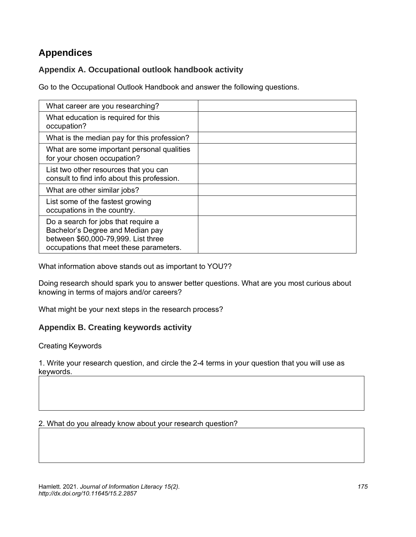# **Appendices**

#### **Appendix A. Occupational outlook handbook activity**

Go to the Occupational Outlook Handbook and answer the following questions.

| What career are you researching?                                                                                                                          |  |
|-----------------------------------------------------------------------------------------------------------------------------------------------------------|--|
| What education is required for this<br>occupation?                                                                                                        |  |
| What is the median pay for this profession?                                                                                                               |  |
| What are some important personal qualities<br>for your chosen occupation?                                                                                 |  |
| List two other resources that you can<br>consult to find info about this profession.                                                                      |  |
| What are other similar jobs?                                                                                                                              |  |
| List some of the fastest growing<br>occupations in the country.                                                                                           |  |
| Do a search for jobs that require a<br>Bachelor's Degree and Median pay<br>between \$60,000-79,999. List three<br>occupations that meet these parameters. |  |

What information above stands out as important to YOU??

Doing research should spark you to answer better questions. What are you most curious about knowing in terms of majors and/or careers?

What might be your next steps in the research process?

#### **Appendix B. Creating keywords activity**

Creating Keywords

1. Write your research question, and circle the 2-4 terms in your question that you will use as keywords.

2. What do you already know about your research question?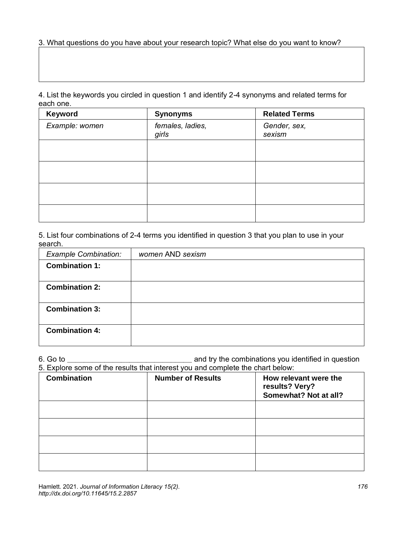3. What questions do you have about your research topic? What else do you want to know?

4. List the keywords you circled in question 1 and identify 2-4 synonyms and related terms for each one.

| Keyword        | <b>Synonyms</b>           | <b>Related Terms</b>   |
|----------------|---------------------------|------------------------|
| Example: women | females, ladies,<br>girls | Gender, sex,<br>sexism |
|                |                           |                        |
|                |                           |                        |
|                |                           |                        |
|                |                           |                        |

5. List four combinations of 2-4 terms you identified in question 3 that you plan to use in your search.

| <b>Example Combination:</b> | women AND sexism |
|-----------------------------|------------------|
| <b>Combination 1:</b>       |                  |
|                             |                  |
| <b>Combination 2:</b>       |                  |
|                             |                  |
| <b>Combination 3:</b>       |                  |
|                             |                  |
| <b>Combination 4:</b>       |                  |
|                             |                  |

6. Go to **\_\_\_\_\_\_\_\_\_\_\_\_\_\_\_\_\_\_\_\_\_\_\_\_\_\_\_\_\_\_** and try the combinations you identified in question

| 5. Explore some of the results that interest you and complete the chart below: |                          |                                                                  |
|--------------------------------------------------------------------------------|--------------------------|------------------------------------------------------------------|
| <b>Combination</b>                                                             | <b>Number of Results</b> | How relevant were the<br>results? Very?<br>Somewhat? Not at all? |
|                                                                                |                          |                                                                  |
|                                                                                |                          |                                                                  |
|                                                                                |                          |                                                                  |
|                                                                                |                          |                                                                  |

Hamlett. 2021. *Journal of Information Literacy 15(2). http://dx.doi.org/10.11645/15.2.2857*